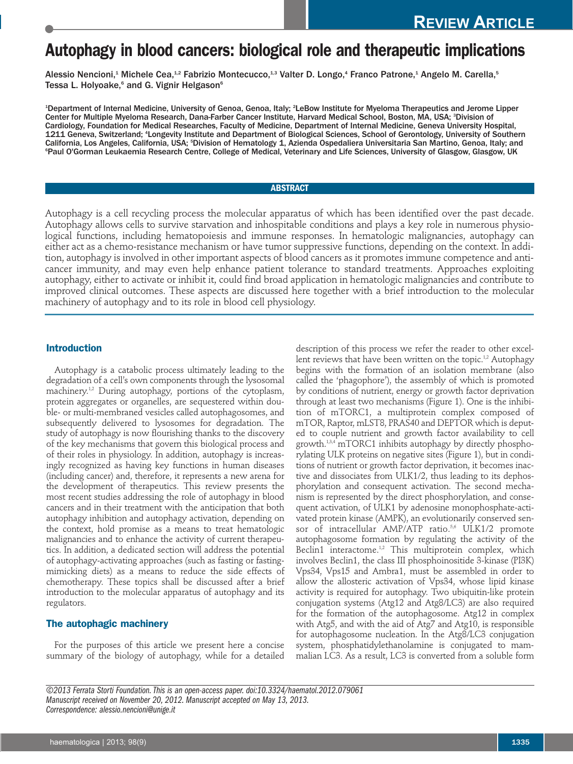# **Autophagy in blood cancers: biological role and therapeutic implications**

Alessio Nencioni,<sup>1</sup> Michele Cea,<sup>1,2</sup> Fabrizio Montecucco,<sup>1,3</sup> Valter D. Longo,<sup>4</sup> Franco Patrone,<sup>1</sup> Angelo M. Carella,<sup>5</sup> Tessa L. Holyoake,<sup>6</sup> and G. Vignir Helgason<sup>6</sup>

1 Department of Internal Medicine, University of Genoa, Genoa, Italy; 2 LeBow Institute for Myeloma Therapeutics and Jerome Lipper Center for Multiple Myeloma Research, Dana-Farber Cancer Institute, Harvard Medical School, Boston, MA, USA; <sup>3</sup>Division of Cardiology, Foundation for Medical Researches, Faculty of Medicine, Department of Internal Medicine, Geneva University Hospital, 1211 Geneva, Switzerland; <sup>4</sup>Longevity Institute and Department of Biological Sciences, School of Gerontology, University of Southern California, Los Angeles, California, USA; <sup>s</sup>Division of Hematology 1, Azienda Ospedaliera Universitaria San Martino, Genoa, Italy; and 6 Paul O'Gorman Leukaemia Research Centre, College of Medical, Veterinary and Life Sciences, University of Glasgow, Glasgow, UK

# **ABSTRACT**

Autophagy is a cell recycling process the molecular apparatus of which has been identified over the past decade. Autophagy allows cells to survive starvation and inhospitable conditions and plays a key role in numerous physiological functions, including hematopoiesis and immune responses. In hematologic malignancies, autophagy can either act as a chemo-resistance mechanism or have tumor suppressive functions, depending on the context. In addition, autophagy is involved in other important aspects of blood cancers as it promotes immune competence and anticancer immunity, and may even help enhance patient tolerance to standard treatments. Approaches exploiting autophagy, either to activate or inhibit it, could find broad application in hematologic malignancies and contribute to improved clinical outcomes. These aspects are discussed here together with a brief introduction to the molecular machinery of autophagy and to its role in blood cell physiology.

#### **Introduction**

Autophagy is a catabolic process ultimately leading to the degradation of a cell's own components through the lysosomal machinery.1,2 During autophagy, portions of the cytoplasm, protein aggregates or organelles, are sequestered within double- or multi-membraned vesicles called autophagosomes, and subsequently delivered to lysosomes for degradation. The study of autophagy is now flourishing thanks to the discovery of the key mechanisms that govern this biological process and of their roles in physiology. In addition, autophagy is increasingly recognized as having key functions in human diseases (including cancer) and, therefore, it represents a new arena for the development of therapeutics. This review presents the most recent studies addressing the role of autophagy in blood cancers and in their treatment with the anticipation that both autophagy inhibition and autophagy activation, depending on the context, hold promise as a means to treat hematologic malignancies and to enhance the activity of current therapeutics. In addition, a dedicated section will address the potential of autophagy-activating approaches (such as fasting or fastingmimicking diets) as a means to reduce the side effects of chemotherapy. These topics shall be discussed after a brief introduction to the molecular apparatus of autophagy and its regulators.

### **The autophagic machinery**

For the purposes of this article we present here a concise summary of the biology of autophagy, while for a detailed description of this process we refer the reader to other excellent reviews that have been written on the topic.<sup>1,2</sup> Autophagy begins with the formation of an isolation membrane (also called the 'phagophore'), the assembly of which is promoted by conditions of nutrient, energy or growth factor deprivation through at least two mechanisms (Figure 1). One is the inhibition of mTORC1, a multiprotein complex composed of mTOR, Raptor, mLST8, PRAS40 and DEPTOR which is deputed to couple nutrient and growth factor availability to cell growth.<sup>1,3,4</sup> mTORC1 inhibits autophagy by directly phosphorylating ULK proteins on negative sites (Figure 1), but in conditions of nutrient or growth factor deprivation, it becomes inactive and dissociates from ULK1/2, thus leading to its dephosphorylation and consequent activation. The second mechanism is represented by the direct phosphorylation, and consequent activation, of ULK1 by adenosine monophosphate-activated protein kinase (AMPK), an evolutionarily conserved sensor of intracellular AMP/ATP ratio.<sup>5,6</sup> ULK1/2 promote autophagosome formation by regulating the activity of the Beclin1 interactome.<sup>1,2</sup> This multiprotein complex, which involves Beclin1, the class III phosphoinositide 3-kinase (PI3K) Vps34, Vps15 and Ambra1, must be assembled in order to allow the allosteric activation of Vps34, whose lipid kinase activity is required for autophagy. Two ubiquitin-like protein conjugation systems (Atg12 and Atg8/LC3) are also required for the formation of the autophagosome. Atg12 in complex with Atg5, and with the aid of Atg7 and Atg10, is responsible for autophagosome nucleation. In the Atg8/LC3 conjugation system, phosphatidylethanolamine is conjugated to mammalian LC3. As a result, LC3 is converted from a soluble form

*©2013 Ferrata Storti Foundation. This is an open-access paper. doi:10.3324/haematol.2012.079061 Manuscript received on November 20, 2012. Manuscript accepted on May 13, 2013. Correspondence: alessio.nencioni@unige.it*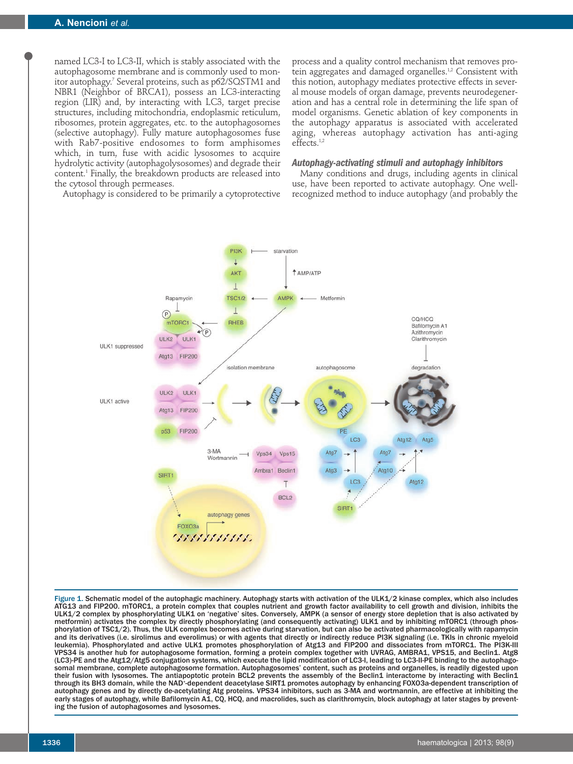named LC3-I to LC3-II, which is stably associated with the autophagosome membrane and is commonly used to monitor autophagy.7 Several proteins, such as p62/SQSTM1 and NBR1 (Neighbor of BRCA1), possess an LC3-interacting region (LIR) and, by interacting with LC3, target precise structures, including mitochondria, endoplasmic reticulum, ribosomes, protein aggregates, etc. to the autophagosomes (selective autophagy). Fully mature autophagosomes fuse with Rab7-positive endosomes to form amphisomes which, in turn, fuse with acidic lysosomes to acquire hydrolytic activity (autophagolysosomes) and degrade their content.1 Finally, the breakdown products are released into the cytosol through permeases.

Autophagy is considered to be primarily a cytoprotective

process and a quality control mechanism that removes protein aggregates and damaged organelles.<sup>1,2</sup> Consistent with this notion, autophagy mediates protective effects in several mouse models of organ damage, prevents neurodegeneration and has a central role in determining the life span of model organisms. Genetic ablation of key components in the autophagy apparatus is associated with accelerated aging, whereas autophagy activation has anti-aging effects.1,2

### *Autophagy-activating stimuli and autophagy inhibitors*

Many conditions and drugs, including agents in clinical use, have been reported to activate autophagy. One wellrecognized method to induce autophagy (and probably the



Figure 1. Schematic model of the autophagic machinery. Autophagy starts with activation of the ULK1/2 kinase complex, which also includes ATG13 and FIP200. mTORC1, a protein complex that couples nutrient and growth factor availability to cell growth and division, inhibits the ULK1/2 complex by phosphorylating ULK1 on 'negative' sites. Conversely, AMPK (a sensor of energy store depletion that is also activated by metformin) activates the complex by directly phosphorylating (and consequently activating) ULK1 and by inhibiting mTORC1 (through phosphorylation of TSC1/2). Thus, the ULK complex becomes active during starvation, but can also be activated pharmacologically with rapamycin and its derivatives (i.e. sirolimus and everolimus) or with agents that directly or indirectly reduce PI3K signaling (i.e. TKIs in chronic myeloid leukemia). Phosphorylated and active ULK1 promotes phosphorylation of Atg13 and FIP200 and dissociates from mTORC1. The PI3K-III VPS34 is another hub for autophagosome formation, forming a protein complex together with UVRAG, AMBRA1, VPS15, and Beclin1. Atg8 (LC3)-PE and the Atg12/Atg5 conjugation systems, which execute the lipid modification of LC3-I, leading to LC3-II-PE binding to the autophagosomal membrane, complete autophagosome formation. Autophagosomes' content, such as proteins and organelles, is readily digested upon their fusion with lysosomes. The antiapoptotic protein BCL2 prevents the assembly of the Beclin1 interactome by interacting with Beclin1 through its BH3 domain, while the NAD\*-dependent deacetylase SIRT1 promotes autophagy by enhancing FOXO3a-dependent transcription of autophagy genes and by directly de-acetylating Atg proteins. VPS34 inhibitors, such as 3-MA and wortmannin, are effective at inhibiting the early stages of autophagy, while Bafilomycin A1, CQ, HCQ, and macrolides, such as clarithromycin, block autophagy at later stages by preventing the fusion of autophagosomes and lysosomes.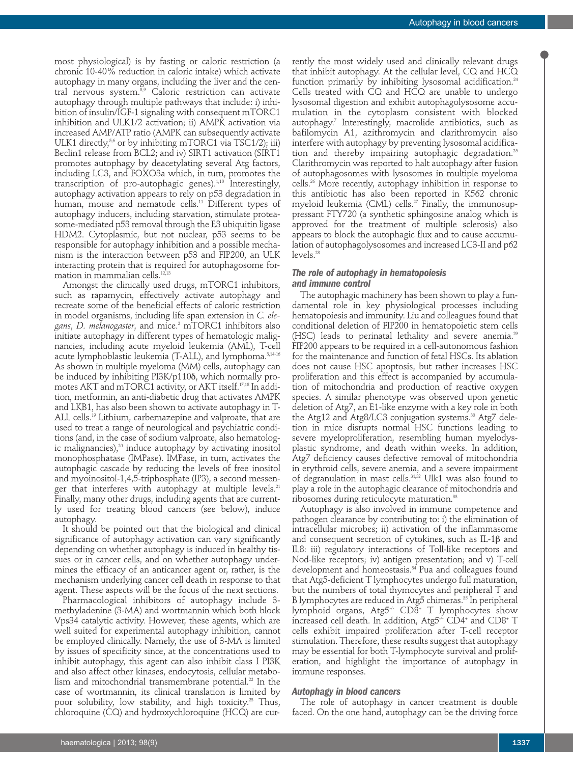most physiological) is by fasting or caloric restriction (a chronic 10-40% reduction in caloric intake) which activate autophagy in many organs, including the liver and the central nervous system.<sup>8,9</sup> Caloric restriction can activate autophagy through multiple pathways that include: i) inhibition of insulin/IGF-1 signaling with consequent mTORC1 inhibition and ULK1/2 activation; ii) AMPK activation via increased AMP/ATP ratio (AMPK can subsequently activate ULK1 directly,<sup>5,6</sup> or by inhibiting mTORC1 via TSC1/2); iii) Beclin1 release from BCL2; and iv) SIRT1 activation (SIRT1 promotes autophagy by deacetylating several Atg factors, including LC3, and FOXO3a which, in turn, promotes the transcription of pro-autophagic genes).<sup>1,10</sup> Interestingly, autophagy activation appears to rely on p53 degradation in human, mouse and nematode cells.<sup>11</sup> Different types of autophagy inducers, including starvation, stimulate proteasome-mediated p53 removal through the E3 ubiquitin ligase HDM2. Cytoplasmic, but not nuclear, p53 seems to be responsible for autophagy inhibition and a possible mechanism is the interaction between p53 and FIP200, an ULK interacting protein that is required for autophagosome formation in mammalian cells.<sup>12,13</sup>

Amongst the clinically used drugs, mTORC1 inhibitors, such as rapamycin, effectively activate autophagy and recreate some of the beneficial effects of caloric restriction in model organisms, including life span extension in *C. elegans*, *D. melanogaster*, and mice.2 mTORC1 inhibitors also initiate autophagy in different types of hematologic malignancies, including acute myeloid leukemia (AML), T-cell acute lymphoblastic leukemia (T-ALL), and lymphoma.<sup>3,14-16</sup> As shown in multiple myeloma (MM) cells, autophagy can be induced by inhibiting PI3K/p1108, which normally promotes AKT and mTORC1 activity, or AKT itself.17,18 In addition, metformin, an anti-diabetic drug that activates AMPK and LKB1, has also been shown to activate autophagy in T-ALL cells.<sup>19</sup> Lithium, carbemazepine and valproate, that are used to treat a range of neurological and psychiatric conditions (and, in the case of sodium valproate, also hematologic malignancies),<sup>20</sup> induce autophagy by activating inositol monophosphatase (IMPase). IMPase, in turn, activates the autophagic cascade by reducing the levels of free inositol and myoinositol-1,4,5-triphosphate (IP3), a second messenger that interferes with autophagy at multiple levels.<sup>21</sup> Finally, many other drugs, including agents that are currently used for treating blood cancers (see below), induce autophagy.

It should be pointed out that the biological and clinical significance of autophagy activation can vary significantly depending on whether autophagy is induced in healthy tissues or in cancer cells, and on whether autophagy undermines the efficacy of an anticancer agent or, rather, is the mechanism underlying cancer cell death in response to that agent. These aspects will be the focus of the next sections.

Pharmacological inhibitors of autophagy include 3 methyladenine (3-MA) and wortmannin which both block Vps34 catalytic activity. However, these agents, which are well suited for experimental autophagy inhibition, cannot be employed clinically. Namely, the use of 3-MA is limited by issues of specificity since, at the concentrations used to inhibit autophagy, this agent can also inhibit class I PI3K and also affect other kinases, endocytosis, cellular metabolism and mitochondrial transmembrane potential.<sup>22</sup> In the case of wortmannin, its clinical translation is limited by poor solubility, low stability, and high toxicity.<sup>23</sup> Thus, chloroquine (CQ) and hydroxychloroquine (HCQ) are currently the most widely used and clinically relevant drugs that inhibit autophagy. At the cellular level, CQ and HCQ function primarily by inhibiting lysosomal acidification.<sup>24</sup> Cells treated with CQ and HCQ are unable to undergo lysosomal digestion and exhibit autophagolysosome accumulation in the cytoplasm consistent with blocked autophagy.7 Interestingly, macrolide antibiotics, such as bafilomycin A1, azithromycin and clarithromycin also interfere with autophagy by preventing lysosomal acidification and thereby impairing autophagic degradation.<sup>25</sup> Clarithromycin was reported to halt autophagy after fusion of autophagosomes with lysosomes in multiple myeloma cells.26 More recently, autophagy inhibition in response to this antibiotic has also been reported in K562 chronic myeloid leukemia (CML) cells. $2^7$  Finally, the immunosuppressant FTY720 (a synthetic sphingosine analog which is approved for the treatment of multiple sclerosis) also appears to block the autophagic flux and to cause accumulation of autophagolysosomes and increased LC3-II and p62 levels.28

# *The role of autophagy in hematopoiesis and immune control*

The autophagic machinery has been shown to play a fundamental role in key physiological processes including hematopoiesis and immunity. Liu and colleagues found that conditional deletion of FIP200 in hematopoietic stem cells (HSC) leads to perinatal lethality and severe anemia.<sup>29</sup> FIP200 appears to be required in a cell-autonomous fashion for the maintenance and function of fetal HSCs. Its ablation does not cause HSC apoptosis, but rather increases HSC proliferation and this effect is accompanied by accumulation of mitochondria and production of reactive oxygen species. A similar phenotype was observed upon genetic deletion of Atg7, an E1-like enzyme with a key role in both the Atg12 and Atg8/LC3 conjugation systems.<sup>30</sup> Atg7 deletion in mice disrupts normal HSC functions leading to severe myeloproliferation, resembling human myelodysplastic syndrome, and death within weeks. In addition, Atg7 deficiency causes defective removal of mitochondria in erythroid cells, severe anemia, and a severe impairment of degranulation in mast cells.31,32 Ulk1 was also found to play a role in the autophagic clearance of mitochondria and ribosomes during reticulocyte maturation.<sup>33</sup>

Autophagy is also involved in immune competence and pathogen clearance by contributing to: i) the elimination of intracellular microbes; ii) activation of the inflammasome and consequent secretion of cytokines, such as  $IL-1\beta$  and IL8: iii) regulatory interactions of Toll-like receptors and Nod-like receptors; iv) antigen presentation; and v) T-cell development and homeostasis.34 Pua and colleagues found that Atg5-deficient T lymphocytes undergo full maturation, but the numbers of total thymocytes and peripheral T and B lymphocytes are reduced in Atg5 chimeras.<sup>35</sup> In peripheral lymphoid organs, Atg5<sup>-/</sup> CD8<sup>+</sup> T lymphocytes show increased cell death. In addition,  $Arg5^{\prime\prime}$  CD4<sup>+</sup> and CD8<sup>+</sup> T cells exhibit impaired proliferation after T-cell receptor stimulation. Therefore, these results suggest that autophagy may be essential for both T-lymphocyte survival and proliferation, and highlight the importance of autophagy in immune responses.

#### *Autophagy in blood cancers*

The role of autophagy in cancer treatment is double faced. On the one hand, autophagy can be the driving force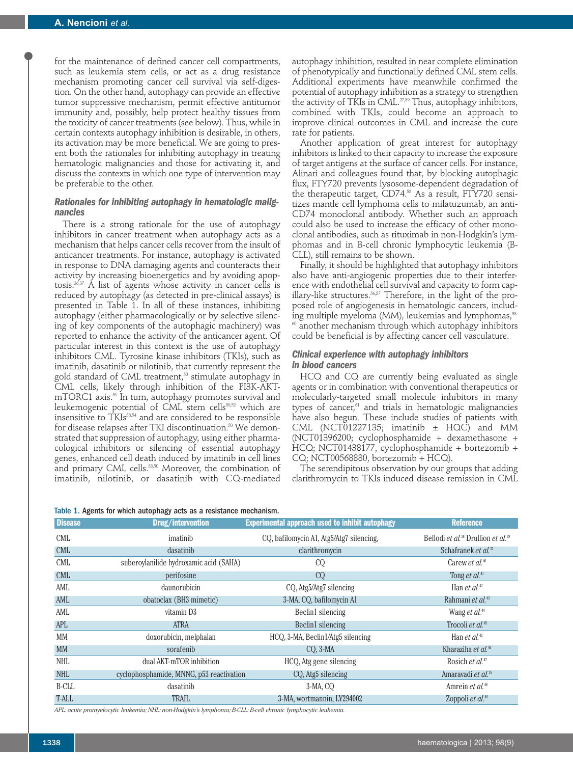for the maintenance of defined cancer cell compartments, such as leukemia stem cells, or act as a drug resistance mechanism promoting cancer cell survival via self-digestion. On the other hand, autophagy can provide an effective tumor suppressive mechanism, permit effective antitumor immunity and, possibly, help protect healthy tissues from the toxicity of cancer treatments (see below). Thus, while in certain contexts autophagy inhibition is desirable, in others, its activation may be more beneficial. We are going to present both the rationales for inhibiting autophagy in treating hematologic malignancies and those for activating it, and discuss the contexts in which one type of intervention may be preferable to the other.

# *Rationales for inhibiting autophagy in hematologic malignancies*

There is a strong rationale for the use of autophagy inhibitors in cancer treatment when autophagy acts as a mechanism that helps cancer cells recover from the insult of anticancer treatments. For instance, autophagy is activated in response to DNA damaging agents and counteracts their activity by increasing bioenergetics and by avoiding apoptosis.36,37 A list of agents whose activity in cancer cells is reduced by autophagy (as detected in pre-clinical assays) is presented in Table 1. In all of these instances, inhibiting autophagy (either pharmacologically or by selective silencing of key components of the autophagic machinery) was reported to enhance the activity of the anticancer agent. Of particular interest in this context is the use of autophagy inhibitors CML. Tyrosine kinase inhibitors (TKIs), such as imatinib, dasatinib or nilotinib, that currently represent the gold standard of CML treatment,<sup>50</sup> stimulate autophagy in CML cells, likely through inhibition of the PI3K-AKTmTORC1 axis.<sup>51</sup> In turn, autophagy promotes survival and leukemogenic potential of CML stem cells<sup>30,52</sup> which are insensitive to TKIs<sup>53,54</sup> and are considered to be responsible for disease relapses after TKI discontinuation.<sup>50</sup> We demonstrated that suppression of autophagy, using either pharmacological inhibitors or silencing of essential autophagy genes, enhanced cell death induced by imatinib in cell lines and primary CML cells.<sup>38,50</sup> Moreover, the combination of imatinib, nilotinib, or dasatinib with CQ-mediated



| <b>Disease</b> | Drug/intervention                        | <b>Experimental approach used to inhibit autophagy</b> | <b>Reference</b>                                           |
|----------------|------------------------------------------|--------------------------------------------------------|------------------------------------------------------------|
| <b>CML</b>     | imatinib                                 | CQ, bafilomycin A1, Atg5/Atg7 silencing,               | Bellodi et al. <sup>38</sup> Drullion et al. <sup>39</sup> |
| <b>CML</b>     | dasatinib                                | clarithromycin                                         | Schafranek et al. <sup>27</sup>                            |
| <b>CML</b>     | suberoylanilide hydroxamic acid (SAHA)   | CQ                                                     | Carew <i>et al.</i> <sup>40</sup>                          |
| <b>CML</b>     | perifosine                               | CQ                                                     | Tong et al. <sup>41</sup>                                  |
| AML            | daunorubicin                             | CQ, Atg5/Atg7 silencing                                | Han <i>et al.</i> <sup>42</sup>                            |
| AML            | obatoclax (BH3 mimetic)                  | 3-MA, CO, bafilomycin A1                               | Rahmani et al. <sup>43</sup>                               |
| AML            | vitamin D3                               | Beclin1 silencing                                      | Wang et al. <sup>44</sup>                                  |
| <b>APL</b>     | <b>ATRA</b>                              | Beclin1 silencing                                      | Trocoli et al. <sup>45</sup>                               |
| MM             | doxorubicin, melphalan                   | HCO, 3-MA, Beclin1/Atg5 silencing                      | Han <i>et al.</i> <sup>42</sup>                            |
| <b>MM</b>      | sorafenib                                | $CO, 3-MA$                                             | Kharaziha et al. <sup>46</sup>                             |
| <b>NHL</b>     | dual AKT-mTOR inhibition                 | HCQ, Atg gene silencing                                | Rosich et al. <sup>47</sup>                                |
| <b>NHL</b>     | cyclophosphamide, MNNG, p53 reactivation | CO, Atg5 silencing                                     | Amaravadi et al. <sup>36</sup>                             |
| B-CLL          | dasatinib                                | 3-MA, CO                                               | Amrein et al. <sup>48</sup>                                |
| T-ALL          | <b>TRAIL</b>                             | 3-MA, wortmannin, LY294002                             | Zoppoli et al. <sup>49</sup>                               |

*APL: acute promyelocytic leukemia; NHL: non-Hodgkin's lymphoma; B-CLL: B-cell chronic lymphocytic leukemia.*

of phenotypically and functionally defined CML stem cells. Additional experiments have meanwhile confirmed the potential of autophagy inhibition as a strategy to strengthen the activity of TKIs in CML.<sup>27,39</sup> Thus, autophagy inhibitors, combined with TKIs, could become an approach to improve clinical outcomes in CML and increase the cure rate for patients. Another application of great interest for autophagy

autophagy inhibition, resulted in near complete elimination

inhibitors is linked to their capacity to increase the exposure of target antigens at the surface of cancer cells. For instance, Alinari and colleagues found that, by blocking autophagic flux, FTY720 prevents lysosome-dependent degradation of the therapeutic target, CD74.<sup>55</sup> As a result, FTY720 sensitizes mantle cell lymphoma cells to milatuzumab, an anti-CD74 monoclonal antibody. Whether such an approach could also be used to increase the efficacy of other monoclonal antibodies, such as rituximab in non-Hodgkin's lymphomas and in B-cell chronic lymphocytic leukemia (B-CLL), still remains to be shown.

Finally, it should be highlighted that autophagy inhibitors also have anti-angiogenic properties due to their interference with endothelial cell survival and capacity to form capillary-like structures.<sup>56,57</sup> Therefore, in the light of the proposed role of angiogenesis in hematologic cancers, including multiple myeloma (MM), leukemias and lymphomas,<sup>58</sup> <sup>60</sup> another mechanism through which autophagy inhibitors could be beneficial is by affecting cancer cell vasculature.

#### *Clinical experience with autophagy inhibitors in blood cancers*

HCQ and CQ are currently being evaluated as single agents or in combination with conventional therapeutics or molecularly-targeted small molecule inhibitors in many types of cancer,<sup>61</sup> and trials in hematologic malignancies have also begun. These include studies of patients with CML (NCT01227135; imatinib  $\pm$  HQC) and MM (NCT01396200; cyclophosphamide + dexamethasone + HCQ; NCT01438177, cyclophosphamide + bortezomib + CQ; NCT00568880, bortezomib + HCQ).

The serendipitous observation by our groups that adding clarithromycin to TKIs induced disease remission in CML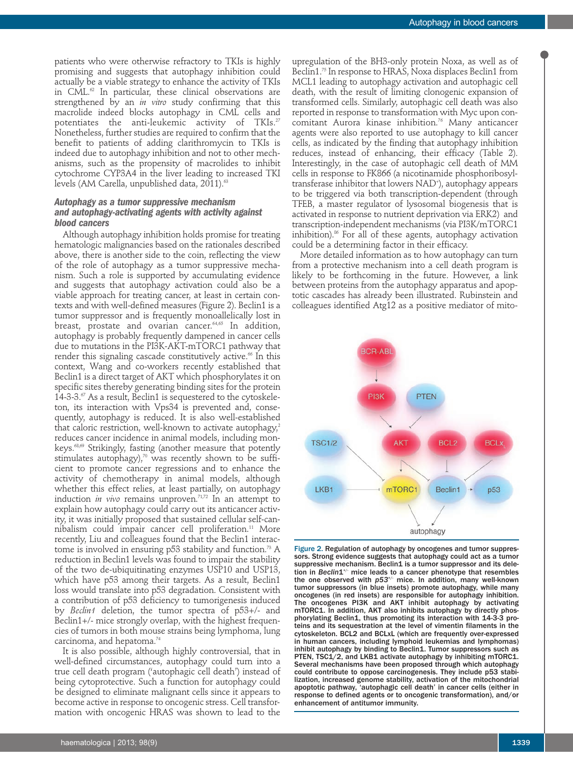patients who were otherwise refractory to TKIs is highly promising and suggests that autophagy inhibition could actually be a viable strategy to enhance the activity of TKIs in CML.<sup>62</sup> In particular, these clinical observations are strengthened by an *in vitro* study confirming that this macrolide indeed blocks autophagy in CML cells and potentiates the anti-leukemic activity of TKIs.<sup>27</sup> Nonetheless, further studies are required to confirm that the benefit to patients of adding clarithromycin to TKIs is indeed due to autophagy inhibition and not to other mechanisms, such as the propensity of macrolides to inhibit cytochrome CYP3A4 in the liver leading to increased TKI levels (AM Carella, unpublished data, 2011).<sup>63</sup>

# *Autophagy as a tumor suppressive mechanism and autophagy-activating agents with activity against blood cancers*

Although autophagy inhibition holds promise for treating hematologic malignancies based on the rationales described above, there is another side to the coin, reflecting the view of the role of autophagy as a tumor suppressive mechanism. Such a role is supported by accumulating evidence and suggests that autophagy activation could also be a viable approach for treating cancer, at least in certain contexts and with well-defined measures (Figure 2). Beclin1 is a tumor suppressor and is frequently monoallelically lost in breast, prostate and ovarian cancer.<sup>64,65</sup> In addition, autophagy is probably frequently dampened in cancer cells due to mutations in the PI3K-AKT-mTORC1 pathway that render this signaling cascade constitutively active.<sup>66</sup> In this context, Wang and co-workers recently established that Beclin1 is a direct target of AKT which phosphorylates it on specific sites thereby generating binding sites for the protein 14-3-3. $\%$  As a result, Beclin1 is sequestered to the cytoskeleton, its interaction with Vps34 is prevented and, consequently, autophagy is reduced. It is also well-established that caloric restriction, well-known to activate autophagy,<sup>2</sup> reduces cancer incidence in animal models, including monkeys.<sup>68,69</sup> Strikingly, fasting (another measure that potently stimulates autophagy), $70$  was recently shown to be sufficient to promote cancer regressions and to enhance the activity of chemotherapy in animal models, although whether this effect relies, at least partially, on autophagy induction *in vivo* remains unproven.<sup>71,72</sup> In an attempt to explain how autophagy could carry out its anticancer activity, it was initially proposed that sustained cellular self-cannibalism could impair cancer cell proliferation.<sup>11</sup> More recently, Liu and colleagues found that the Beclin1 interactome is involved in ensuring  $p53$  stability and function.<sup>73</sup> A reduction in Beclin1 levels was found to impair the stability of the two de-ubiquitinating enzymes USP10 and USP13, which have p53 among their targets. As a result, Beclin1 loss would translate into p53 degradation. Consistent with a contribution of p53 deficiency to tumorigenesis induced by *Beclin1* deletion, the tumor spectra of p53+/- and Beclin1+/- mice strongly overlap, with the highest frequencies of tumors in both mouse strains being lymphoma, lung carcinoma, and hepatoma.<sup>74</sup>

It is also possible, although highly controversial, that in well-defined circumstances, autophagy could turn into a true cell death program ('autophagic cell death') instead of being cytoprotective. Such a function for autophagy could be designed to eliminate malignant cells since it appears to become active in response to oncogenic stress. Cell transformation with oncogenic HRAS was shown to lead to the

upregulation of the BH3-only protein Noxa, as well as of Beclin1.75 In response to HRAS, Noxa displaces Beclin1 from MCL1 leading to autophagy activation and autophagic cell death, with the result of limiting clonogenic expansion of transformed cells. Similarly, autophagic cell death was also reported in response to transformation with Myc upon concomitant Aurora kinase inhibition.<sup>76</sup> Many anticancer agents were also reported to use autophagy to kill cancer cells, as indicated by the finding that autophagy inhibition reduces, instead of enhancing, their efficacy (Table 2). Interestingly, in the case of autophagic cell death of MM cells in response to FK866 (a nicotinamide phosphoribosyltransferase inhibitor that lowers NAD\*), autophagy appears to be triggered via both transcription-dependent (through TFEB, a master regulator of lysosomal biogenesis that is activated in response to nutrient deprivation via ERK2) and transcription-independent mechanisms (via PI3K/mTORC1 inhibition).86 For all of these agents, autophagy activation could be a determining factor in their efficacy.

More detailed information as to how autophagy can turn from a protective mechanism into a cell death program is likely to be forthcoming in the future. However, a link between proteins from the autophagy apparatus and apoptotic cascades has already been illustrated. Rubinstein and colleagues identified Atg12 as a positive mediator of mito-



Figure 2. Regulation of autophagy by oncogenes and tumor suppressors. Strong evidence suggests that autophagy could act as a tumor suppressive mechanism. Beclin1 is a tumor suppressor and its deletion in *Beclin*1<sup>+/-</sup> mice leads to a cancer phenotype that resembles the one observed with  $p53^{+/}$  mice. In addition, many well-known tumor suppressors (in blue insets) promote autophagy, while many oncogenes (in red insets) are responsible for autophagy inhibition. The oncogenes PI3K and AKT inhibit autophagy by activating mTORC1. In addition, AKT also inhibits autophagy by directly phosphorylating Beclin1, thus promoting its interaction with 14-3-3 proteins and its sequestration at the level of vimentin filaments in the cytoskeleton. BCL2 and BCLxL (which are frequently over-expressed in human cancers, including lymphoid leukemias and lymphomas) inhibit autophagy by binding to Beclin1. Tumor suppressors such as PTEN, TSC1/2, and LKB1 activate autophagy by inhibiting mTORC1. Several mechanisms have been proposed through which autophagy could contribute to oppose carcinogenesis. They include p53 stabilization, increased genome stability, activation of the mitochondrial apoptotic pathway, 'autophagic cell death' in cancer cells (either in response to defined agents or to oncogenic transformation), and/or enhancement of antitumor immunity.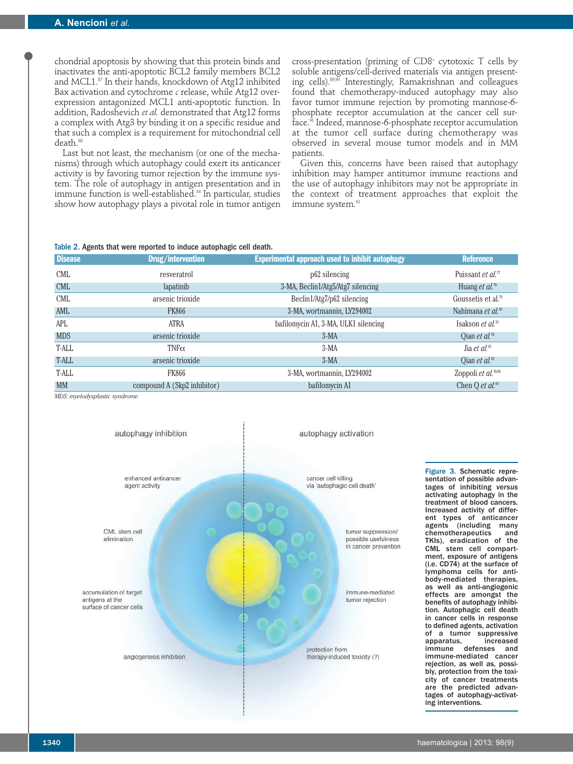chondrial apoptosis by showing that this protein binds and inactivates the anti-apoptotic BCL2 family members BCL2 and MCL1.<sup>87</sup> In their hands, knockdown of Atg12 inhibited Bax activation and cytochrome *c* release, while Atg12 overexpression antagonized MCL1 anti-apoptotic function. In addition, Radoshevich *et al.* demonstrated that Atg12 forms a complex with Atg3 by binding it on a specific residue and that such a complex is a requirement for mitochondrial cell death.<sup>88</sup>

Last but not least, the mechanism (or one of the mechanisms) through which autophagy could exert its anticancer activity is by favoring tumor rejection by the immune system. The role of autophagy in antigen presentation and in immune function is well-established.34 In particular, studies show how autophagy plays a pivotal role in tumor antigen cross-presentation (priming of CD8+ cytotoxic T cells by soluble antigens/cell-derived materials via antigen presenting cells).89,90 Interestingly, Ramakrishnan and colleagues found that chemotherapy-induced autophagy may also favor tumor immune rejection by promoting mannose-6 phosphate receptor accumulation at the cancer cell surface.<sup>91</sup> Indeed, mannose-6-phosphate receptor accumulation at the tumor cell surface during chemotherapy was observed in several mouse tumor models and in MM patients.

Given this, concerns have been raised that autophagy inhibition may hamper antitumor immune reactions and the use of autophagy inhibitors may not be appropriate in the context of treatment approaches that exploit the immune system.<sup>61</sup>

#### Table 2. Agents that were reported to induce autophagic cell death.

| <b>Disease</b> | Drug/intervention           | <b>Experimental approach used to inhibit autophagy</b> | <b>Reference</b>                 |
|----------------|-----------------------------|--------------------------------------------------------|----------------------------------|
| <b>CML</b>     | resveratrol                 | p <sub>62</sub> silencing                              | Puissant et al. <sup>77</sup>    |
| <b>CML</b>     | lapatinib                   | 3-MA, Beclin1/Atg5/Atg7 silencing                      | Huang et al. <sup>78</sup>       |
| <b>CML</b>     | arsenic trioxide            | Beclin1/Atg7/p62 silencing                             | Goussetis et al. <sup>79</sup>   |
| AML            | <b>FK866</b>                | 3-MA, wortmannin, LY294002                             | Nahimana et al. <sup>80</sup>    |
| APL            | ATRA                        | bafilomycin A1, 3-MA, ULK1 silencing                   | Isakson et al. <sup>81</sup>     |
| <b>MDS</b>     | arsenic trioxide            | $3-MA$                                                 | Oian et al. $^{\circledR}$       |
| T-ALL          | $TNF\alpha$                 | $3-MA$                                                 | Jia et al. $83$                  |
| T-ALL          | arsenic trioxide            | $3-MA$                                                 | Oian <i>et al.</i> <sup>82</sup> |
| T-ALL          | <b>FK866</b>                | 3-MA, wortmannin, LY294002                             | Zoppoli et al. <sup>49,80</sup>  |
| <b>MM</b>      | compound A (Skp2 inhibitor) | bafilomycin A1                                         | Chen Q et al. <sup>84</sup>      |

*MDS: myelodysplastic syndrome.*



Figure 3. Schematic representation of possible advantages of inhibiting *versus* activating autophagy in the treatment of blood cancers. Increased activity of different types of anticancer agents (including many<br>chemotherapeutics and chemotherapeutics TKIs), eradication of the CML stem cell compartment, exposure of antigens (i.e. CD74) at the surface of lymphoma cells for antibody-mediated therapies, as well as anti-angiogenic effects are amongst the benefits of autophagy inhibition. Autophagic cell death in cancer cells in response to defined agents, activation of a tumor suppressive apparatus, increased immune defenses and immune-mediated cancer rejection, as well as, possibly, protection from the toxicity of cancer treatments are the predicted advantages of autophagy-activating interventions.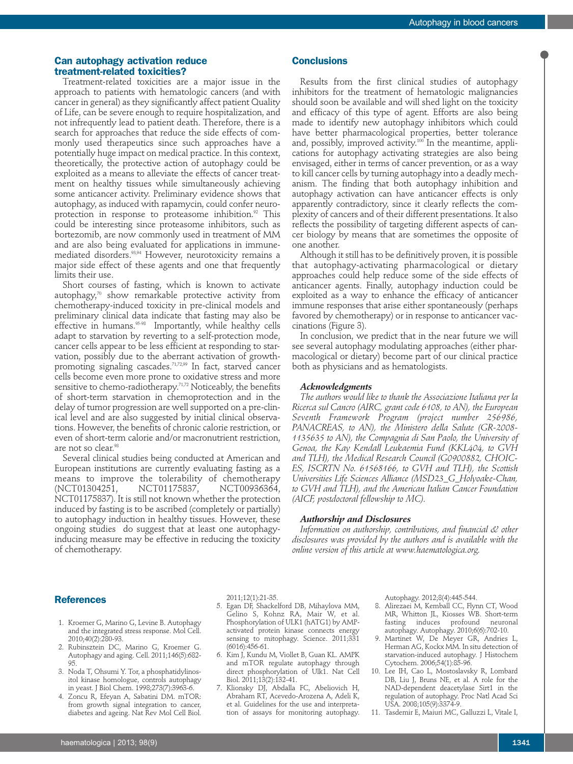# **Can autophagy activation reduce treatment-related toxicities?**

Treatment-related toxicities are a major issue in the approach to patients with hematologic cancers (and with cancer in general) as they significantly affect patient Quality of Life, can be severe enough to require hospitalization, and not infrequently lead to patient death. Therefore, there is a search for approaches that reduce the side effects of commonly used therapeutics since such approaches have a potentially huge impact on medical practice. In this context, theoretically, the protective action of autophagy could be exploited as a means to alleviate the effects of cancer treatment on healthy tissues while simultaneously achieving some anticancer activity. Preliminary evidence shows that autophagy, as induced with rapamycin, could confer neuroprotection in response to proteasome inhibition.<sup>92</sup> This could be interesting since proteasome inhibitors, such as bortezomib, are now commonly used in treatment of MM and are also being evaluated for applications in immunemediated disorders.93,94 However, neurotoxicity remains a major side effect of these agents and one that frequently limits their use.

Short courses of fasting, which is known to activate autophagy, $70$  show remarkable protective activity from chemotherapy-induced toxicity in pre-clinical models and preliminary clinical data indicate that fasting may also be effective in humans.95-98 Importantly, while healthy cells adapt to starvation by reverting to a self-protection mode, cancer cells appear to be less efficient at responding to starvation, possibly due to the aberrant activation of growthpromoting signaling cascades.<sup>71,72,99</sup> In fact, starved cancer cells become even more prone to oxidative stress and more sensitive to chemo-radiotherapy.<sup>71,72</sup> Noticeably, the benefits of short-term starvation in chemoprotection and in the delay of tumor progression are well supported on a pre-clinical level and are also suggested by initial clinical observations. However, the benefits of chronic calorie restriction, or even of short-term calorie and/or macronutrient restriction, are not so clear.<sup>98</sup>

Several clinical studies being conducted at American and European institutions are currently evaluating fasting as a means to improve the tolerability of chemotherapy (NCT01304251, NCT01175837, NCT00936364, NCT01175837). It is still not known whether the protection induced by fasting is to be ascribed (completely or partially) to autophagy induction in healthy tissues. However, these ongoing studies do suggest that at least one autophagyinducing measure may be effective in reducing the toxicity of chemotherapy.

# **Conclusions**

Results from the first clinical studies of autophagy inhibitors for the treatment of hematologic malignancies should soon be available and will shed light on the toxicity and efficacy of this type of agent. Efforts are also being made to identify new autophagy inhibitors which could have better pharmacological properties, better tolerance and, possibly, improved activity.<sup>100</sup> In the meantime, applications for autophagy activating strategies are also being envisaged, either in terms of cancer prevention, or as a way to kill cancer cells by turning autophagy into a deadly mechanism. The finding that both autophagy inhibition and autophagy activation can have anticancer effects is only apparently contradictory, since it clearly reflects the complexity of cancers and of their different presentations. It also reflects the possibility of targeting different aspects of cancer biology by means that are sometimes the opposite of one another.

Although it still has to be definitively proven, it is possible that autophagy-activating pharmacological or dietary approaches could help reduce some of the side effects of anticancer agents. Finally, autophagy induction could be exploited as a way to enhance the efficacy of anticancer immune responses that arise either spontaneously (perhaps favored by chemotherapy) or in response to anticancer vaccinations (Figure 3).

In conclusion, we predict that in the near future we will see several autophagy modulating approaches (either pharmacological or dietary) become part of our clinical practice both as physicians and as hematologists.

#### *Acknowledgments*

*The authors would like to thank the Associazione Italiana per la Ricerca sul Cancro (AIRC, grant code 6108, to AN), the European Seventh Framework Program (project number 256986, PANACREAS, to AN), the Ministero della Salute (GR-2008- 1135635 to AN), the Compagnia di San Paolo, the University of Genoa, the Kay Kendall Leukaemia Fund (KKL404, to GVH and TLH), the Medical Research Council (G0900882, CHOIC-ES, ISCRTN No. 61568166, to GVH and TLH), the Scottish Universities Life Sciences Alliance (MSD23\_G\_Holyoake-Chan, to GVH and TLH), and the American Italian Cancer Foundation (AICF, postdoctoral fellowship to MC).* 

#### *Authorship and Disclosures*

*Information on authorship, contributions, and financial & other disclosures was provided by the authors and is available with the online version of this article at www.haematologica.org.*

#### **References**

- 1. Kroemer G, Marino G, Levine B. Autophagy and the integrated stress response. Mol Cell. 2010;40(2):280-93.
- 2. Rubinsztein DC, Marino G, Kroemer G. Autophagy and aging. Cell. 2011;146(5):682- 95.
- 3. Noda T, Ohsumi Y. Tor, a phosphatidylinositol kinase homologue, controls autophagy in yeast. J Biol Chem. 1998;273(7):3963-6.
- 4. Zoncu R, Efeyan A, Sabatini DM. mTOR: from growth signal integration to cancer, diabetes and ageing. Nat Rev Mol Cell Biol.

2011;12(1):21-35.

- 5. Egan DF, Shackelford DB, Mihaylova MM, Gelino S, Kohnz RA, Mair W, et al. Phosphorylation of ULK1 (hATG1) by AMPactivated protein kinase connects energy sensing to mitophagy. Science. 2011;331 (6016):456-61.
- 6. Kim J, Kundu M, Viollet B, Guan KL. AMPK and mTOR regulate autophagy through direct phosphorylation of Ulk1. Nat Cell Biol. 2011;13(2):132-41.
- 7. Klionsky DJ, Abdalla FC, Abeliovich H, Abraham RT, Acevedo-Arozena A, Adeli K, et al. Guidelines for the use and interpretation of assays for monitoring autophagy.

Autophagy. 2012;8(4):445-544.

- 8. Alirezaei M, Kemball CC, Flynn CT, Wood MR, Whitton JL, Kiosses WB. Short-term fasting induces profound neuronal autophagy. Autophagy. 2010;6(6):702-10.
- 9. Martinet W, De Meyer GR, Andries L, Herman AG, Kockx MM. In situ detection of starvation-induced autophagy. J Histochem Cytochem. 2006;54(1):85-96.
- 10. Lee IH, Cao L, Mostoslavsky R, Lombard DB, Liu J, Bruns NE, et al. A role for the NAD-dependent deacetylase Sirt1 in the regulation of autophagy. Proc Natl Acad Sci USA. 2008;105(9):3374-9.
- 11. Tasdemir E, Maiuri MC, Galluzzi L, Vitale I,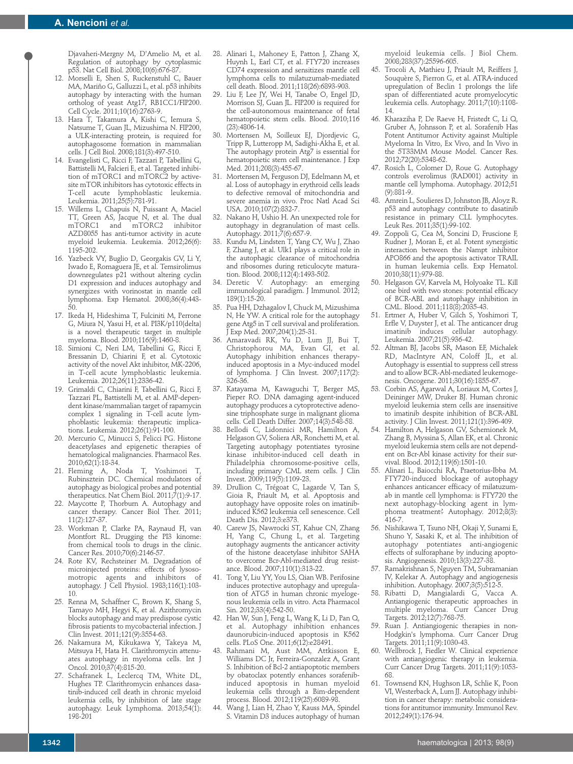Djavaheri-Mergny M, D'Amelio M, et al. Regulation of autophagy by cytoplasmic p53. Nat Cell Biol. 2008;10(6):676-87.

- 12. Morselli E, Shen S, Ruckenstuhl C, Bauer MA, Mariño G, Galluzzi L, et al. p53 inhibits autophagy by interacting with the human ortholog of yeast Atg17, RB1CC1/FIP200. Cell Cycle. 2011;10(16):2763-9.
- 13. Hara T, Takamura A, Kishi C, Iemura S, Natsume T, Guan JL, Mizushima N. FIP200, a ULK-interacting protein, is required for autophagosome formation in mammalian cells. J Cell Biol. 2008;181(3):497-510.
- 14. Evangelisti C, Ricci F, Tazzari P, Tabellini G, Battistelli M, Falcieri E, et al. Targeted inhibition of mTORC1 and mTORC2 by activesite mTOR inhibitors has cytotoxic effects in T-cell acute lymphoblastic leukemia. Leukemia. 2011;25(5):781-91.
- 15. Willems L, Chapuis N, Puissant A, Maciel TT, Green AS, Jacque N, et al. The dual mTORC1 and mTORC2 AZD8055 has anti-tumor activity in acute myeloid leukemia. Leukemia. 2012;26(6): 1195-202.
- 16. Yazbeck VY, Buglio D, Georgakis GV, Li Y, Iwado E, Romaguera JE, et al. Temsirolimus downregulates p21 without altering cyclin D1 expression and induces autophagy and synergizes with vorinostat in mantle cell lymphoma. Exp Hematol. 2008;36(4):443- 50.
- 17. Ikeda H, Hideshima T, Fulciniti M, Perrone G, Miura N, Yasui H, et al. PI3K/p110{delta} is a novel therapeutic target in multiple myeloma. Blood. 2010;116(9):1460-8.
- 18. Simioni C, Neri LM, Tabellini G, Ricci F, Bressanin D, Chiarini F, et al. Cytotoxic activity of the novel Akt inhibitor, MK-2206, in T-cell acute lymphoblastic leukemia. Leukemia. 2012;26(11):2336-42.
- 19. Grimaldi C, Chiarini F, Tabellini G, Ricci F, Tazzari PL, Battistelli M, et al. AMP-dependent kinase/mammalian target of rapamycin complex 1 signaling in T-cell acute lymphoblastic leukemia: therapeutic implications. Leukemia. 2012;26(1):91-100.
- 20. Mercurio C, Minucci S, Pelicci PG. Histone deacetylases and epigenetic therapies of hematological malignancies. Pharmacol Res. 2010;62(1):18-34.
- 21. Fleming A, Noda T, Yoshimori T, Rubinsztein DC. Chemical modulators of autophagy as biological probes and potential therapeutics. Nat Chem Biol. 2011;7(1):9-17.
- 22. Maycotte P, Thorburn A. Autophagy and cancer therapy. Cancer Biol Ther. 2011; 11(2):127-37.
- 23. Workman P, Clarke PA, Raynaud FI, van Montfort RL. Drugging the PI3 kinome: from chemical tools to drugs in the clinic. Cancer Res. 2010;70(6):2146-57.
- 24. Rote KV, Rechsteiner M. Degradation of microinjected proteins: effects of lysosomotropic agents and inhibitors of autophagy. J Cell Physiol. 1983;116(1):103- 10.
- 25. Renna M, Schaffner C, Brown K, Shang S, Tamayo MH, Hegyi K, et al. Azithromycin blocks autophagy and may predispose cystic fibrosis patients to mycobacterial infection. J Clin Invest. 2011;121(9):3554-63.
- 26. Nakamura M, Kikukawa Y, Takeya M, Mitsuya H, Hata H. Clarithromycin attenuates autophagy in myeloma cells. Int J Oncol. 2010;37(4):815-20.
- 27. Schafranek L, Leclercq TM, White DL, Hughes TP. Clarithromycin enhances dasatinib-induced cell death in chronic myeloid leukemia cells, by inhibition of late stage autophagy. Leuk Lymphoma. 2013;54(1): 198-201
- 28. Alinari L, Mahoney E, Patton J, Zhang X, Huynh L, Earl CT, et al. FTY720 increases CD74 expression and sensitizes mantle cell lymphoma cells to milatuzumab-mediated cell death. Blood. 2011;118(26):6893-903.
- 29. Liu F, Lee JY, Wei H, Tanabe O, Engel JD, Morrison SJ, Guan JL. FIP200 is required for the cell-autonomous maintenance of fetal hematopoietic stem cells. Blood. 2010;116 (23):4806-14.
- 30. Mortensen M, Soilleux EJ, Djordjevic G, Tripp R, Lutteropp M, Sadighi-Akha E, et al. The autophagy protein Atg7 is essential for hematopoietic stem cell maintenance. J Exp Med. 2011;208(3):455-67
- 31. Mortensen M, Ferguson DJ, Edelmann M, et al. Loss of autophagy in erythroid cells leads to defective removal of mitochondria and severe anemia in vivo. Proc Natl Acad Sci USA. 2010;107(2):832-7.
- 32. Nakano H, Ushio H. An unexpected role for autophagy in degranulation of mast cells. Autophagy. 2011;7(6):657-9.
- 33. Kundu M, Lindsten T, Yang CY, Wu J, Zhao F, Zhang J, et al. Ulk1 plays a critical role in the autophagic clearance of mitochondria and ribosomes during reticulocyte maturation. Blood. 2008;112(4):1493-502.
- 34. Deretic V. Autophagy: an emerging immunological paradigm. J Immunol. 2012; 189(1):15-20.
- 35. Pua HH, Dzhagalov I, Chuck M, Mizushima N, He YW. A critical role for the autophagy gene Atg5 in T cell survival and proliferation. J Exp Med. 2007;204(1):25-31.
- 36. Amaravadi RK, Yu D, Lum JJ, Bui T, Christophorou MA, Evan GI, et al. Autophagy inhibition enhances therapyinduced apoptosis in a Myc-induced model of lymphoma. J Clin Invest. 2007;117(2): 326-36.
- 37. Katayama M, Kawaguchi T, Berger MS, Pieper RO. DNA damaging agent-induced autophagy produces a cytoprotective adenosine triphosphate surge in malignant glioma cells. Cell Death Differ. 2007;14(3):548-58.
- Bellodi C, Lidonnici MR, Hamilton A, Helgason GV, Soliera AR, Ronchetti M, et al. Targeting autophagy potentiates tyrosine kinase inhibitor-induced cell death in Philadelphia chromosome-positive cells, including primary CML stem cells. J Clin Invest. 2009;119(5):1109-23.
- 39. Drullion C, Trégoat C, Lagarde V, Tan S, Gioia R, Priault M, et al. Apoptosis and autophagy have opposite roles on imatinibinduced K562 leukemia cell senescence. Cell Death Dis. 2012;3:e373.
- 40. Carew JS, Nawrocki ST, Kahue CN, Zhang H, Yang C, Chung L, et al. Targeting autophagy augments the anticancer activity of the histone deacetylase inhibitor SAHA to overcome Bcr-Abl-mediated drug resistance. Blood. 2007;110(1):313-22.
- 41. Tong Y, Liu YY, You LS, Qian WB. Perifosine induces protective autophagy and upregulation of ATG5 in human chronic myelogenous leukemia cells in vitro. Acta Pharmacol Sin. 2012;33(4):542-50.
- 42. Han W, Sun J, Feng L, Wang K, Li D, Pan Q, et al. Autophagy inhibition enhances daunorubicin-induced apoptosis in K562 cells. PLoS One. 2011;6(12):e28491.
- 43. Rahmani M, Aust MM, Attkisson E, Williams DC Jr, Ferreira-Gonzalez A, Grant S. Inhibition of Bcl-2 antiapoptotic members by obatoclax potently enhances sorafenibinduced apoptosis in human myeloid leukemia cells through a Bim-dependent process. Blood. 2012;119(25):6089-98.
- 44. Wang J, Lian H, Zhao Y, Kauss MA, Spindel S. Vitamin D3 induces autophagy of human

myeloid leukemia cells. J Biol Chem. 2008;283(37):25596-605.

- 45. Trocoli A, Mathieu J, Priault M, Reiffers J, Souquère S, Pierron G, et al. ATRA-induced upregulation of Beclin 1 prolongs the life span of differentiated acute promyelocytic leukemia cells. Autophagy. 2011;7(10):1108- 14.
- 46. Kharaziha P, De Raeve H, Fristedt C, Li Q, Gruber A, Johnsson P, et al. Sorafenib Has Potent Antitumor Activity against Multiple Myeloma In Vitro, Ex Vivo, and In Vivo in the 5T33MM Mouse Model. Cancer Res. 2012;72(20):5348-62.
- 47. Rosich L, Colomer D, Roue G. Autophagy controls everolimus (RAD001) activity in mantle cell lymphoma. Autophagy. 2012;51 (9):881-9.
- 48. Amrein L, Soulieres D, Johnston JB, Aloyz R. p53 and autophagy contribute to dasatinib resistance in primary CLL lymphocytes. Leuk Res. 2011;35(1):99-102.
- 49. Zoppoli G, Cea M, Soncini D, Fruscione F, Rudner J, Moran E, et al. Potent synergistic interaction between the Nampt inhibitor APO866 and the apoptosis activator TRAIL in human leukemia cells. Exp Hematol. 2010;38(11):979-88.
- 50. Helgason GV, Karvela M, Holyoake TL. Kill one bird with two stones: potential efficacy of BCR-ABL and autophagy inhibition in CML. Blood. 2011;118(8):2035-43.
- 51. Ertmer A, Huber V, Gilch S, Yoshimori T, Erfle V, Duyster J, et al. The anticancer drug imatinib induces cellular autophagy. Leukemia. 2007;21(5):936-42.
- 52. Altman BJ, Jacobs SR, Mason EF, Michalek RD, MacIntyre AN, Coloff JL, et al. Autophagy is essential to suppress cell stress and to allow BCR-Abl-mediated leukemogenesis. Oncogene. 2011;30(16):1855-67.
- 53. Corbin AS, Agarwal A, Loriaux M, Cortes J, Deininger MW, Druker BJ. Human chronic myeloid leukemia stem cells are insensitive to imatinib despite inhibition of BCR-ABL activity. J Clin Invest. 2011;121(1):396-409.
- 54. Hamilton A, Helgason GV, Schemionek M, Zhang B, Myssina S, Allan EK, et al. Chronic myeloid leukemia stem cells are not dependent on Bcr-Abl kinase activity for their survival. Blood. 2012;119(6):1501-10.
- 55. Alinari L, Baiocchi RA, Praetorius-Ibba M. FTY720-induced blockage of autophagy enhances anticancer efficacy of milatuzumab in mantle cell lymphoma: is FTY720 the next autophagy-blocking agent in lymphoma treatment? Autophagy. 2012;8(3): 416-7.
- 56. Nishikawa T, Tsuno NH, Okaji Y, Sunami E, Shuno Y, Sasaki K, et al. The inhibition of autophagy potentiates anti-angiogenic effects of sulforaphane by inducing apoptosis. Angiogenesis. 2010;13(3):227-38.
- 57. Ramakrishnan S, Nguyen TM, Subramanian IV, Kelekar A. Autophagy and angiogenesis inhibition. Autophagy. 2007;3(5):512-5.
- 58. Ribatti D, Mangialardi G, Vacca A. Antiangiogenic therapeutic approaches in multiple myeloma. Curr Cancer Drug Targets. 2012;12(7):768-75.
- 59. Ruan J. Antiangiogenic therapies in non-Hodgkin's lymphoma. Curr Cancer Drug Targets. 2011;11(9):1030-43.
- 60. Wellbrock J, Fiedler W. Clinical experience with antiangiogenic therapy in leukemia. Curr Cancer Drug Targets. 2011;11(9):1053- 68.
- 61. Townsend KN, Hughson LR, Schlie K, Poon VI, Westerback A, Lum JJ. Autophagy inhibition in cancer therapy: metabolic considerations for antitumor immunity. Immunol Rev. 2012;249(1):176-94.